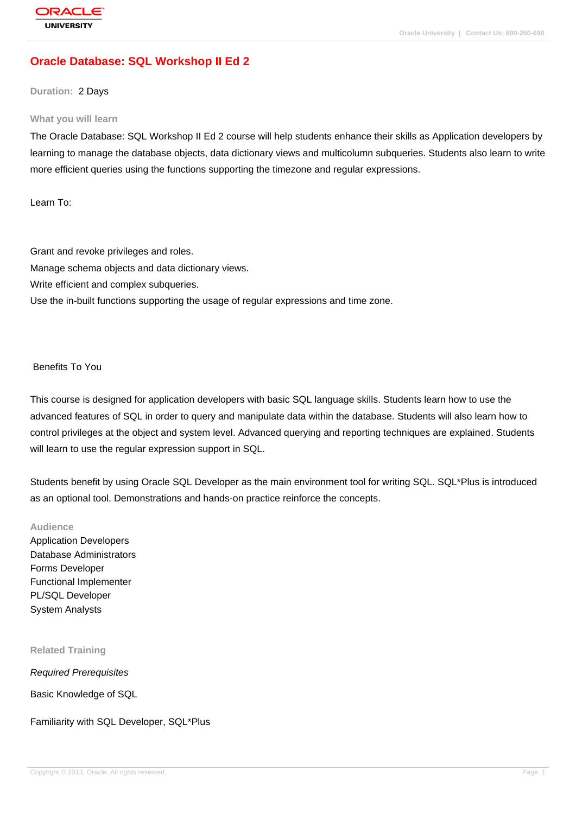# **[Oracle Databas](http://education.oracle.com/pls/web_prod-plq-dad/db_pages.getpage?page_id=3)e: SQL Workshop II Ed 2**

### **Duration:** 2 Days

#### **What you will learn**

The Oracle Database: SQL Workshop II Ed 2 course will help students enhance their skills as Application developers by learning to manage the database objects, data dictionary views and multicolumn subqueries. Students also learn to write more efficient queries using the functions supporting the timezone and regular expressions.

Learn To:

Grant and revoke privileges and roles. Manage schema objects and data dictionary views. Write efficient and complex subqueries. Use the in-built functions supporting the usage of regular expressions and time zone.

### Benefits To You

This course is designed for application developers with basic SQL language skills. Students learn how to use the advanced features of SQL in order to query and manipulate data within the database. Students will also learn how to control privileges at the object and system level. Advanced querying and reporting techniques are explained. Students will learn to use the regular expression support in SQL.

Students benefit by using Oracle SQL Developer as the main environment tool for writing SQL. SQL\*Plus is introduced as an optional tool. Demonstrations and hands-on practice reinforce the concepts.

### **Audience**

Application Developers Database Administrators Forms Developer Functional Implementer PL/SQL Developer System Analysts

### **Related Training**

Required Prerequisites

Basic Knowledge of SQL

Familiarity with SQL Developer, SQL\*Plus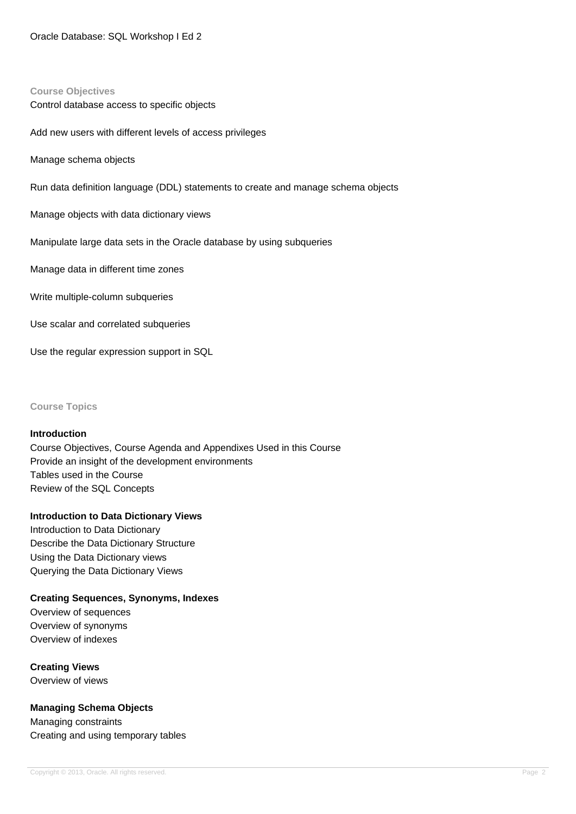#### **Course Objectives**

Control database access to specific objects

Add new users with different levels of access privileges

Manage schema objects

Run data definition language (DDL) statements to create and manage schema objects

Manage objects with data dictionary views

Manipulate large data sets in the Oracle database by using subqueries

Manage data in different time zones

Write multiple-column subqueries

Use scalar and correlated subqueries

Use the regular expression support in SQL

**Course Topics**

#### **Introduction**

Course Objectives, Course Agenda and Appendixes Used in this Course Provide an insight of the development environments Tables used in the Course Review of the SQL Concepts

#### **Introduction to Data Dictionary Views**

Introduction to Data Dictionary Describe the Data Dictionary Structure Using the Data Dictionary views Querying the Data Dictionary Views

**Creating Sequences, Synonyms, Indexes**

Overview of sequences Overview of synonyms Overview of indexes

**Creating Views**  Overview of views

#### **Managing Schema Objects**

Managing constraints Creating and using temporary tables